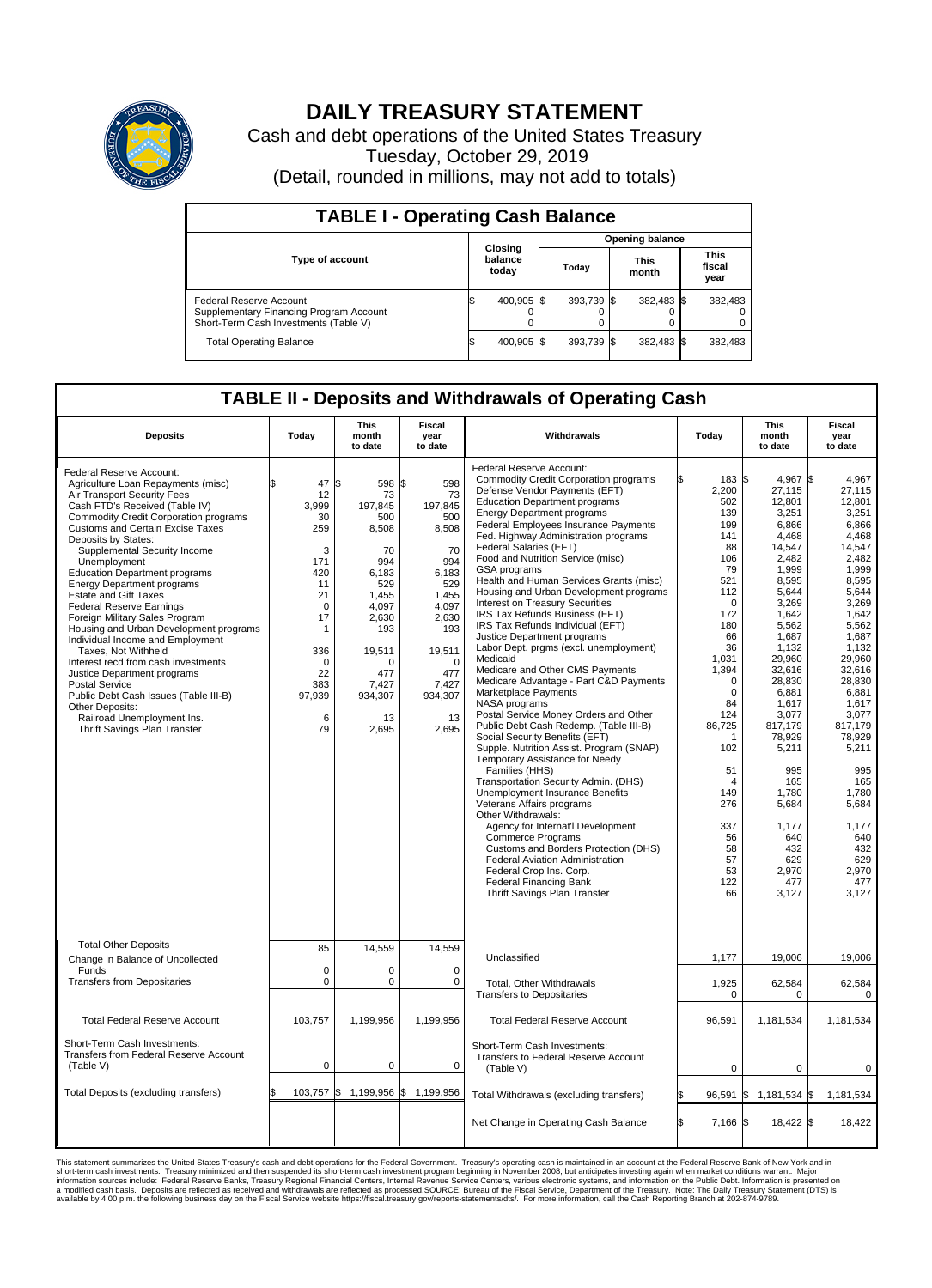

## **DAILY TREASURY STATEMENT**

Cash and debt operations of the United States Treasury Tuesday, October 29, 2019 (Detail, rounded in millions, may not add to totals)

| <b>TABLE I - Operating Cash Balance</b>                                                                     |                             |            |                        |            |                      |            |                               |         |  |  |
|-------------------------------------------------------------------------------------------------------------|-----------------------------|------------|------------------------|------------|----------------------|------------|-------------------------------|---------|--|--|
|                                                                                                             | Closing<br>balance<br>today |            | <b>Opening balance</b> |            |                      |            |                               |         |  |  |
| Type of account                                                                                             |                             |            | Today                  |            | <b>This</b><br>month |            | <b>This</b><br>fiscal<br>year |         |  |  |
| Federal Reserve Account<br>Supplementary Financing Program Account<br>Short-Term Cash Investments (Table V) |                             | 400,905 \$ |                        | 393.739 \$ |                      | 382,483 \$ |                               | 382,483 |  |  |
| <b>Total Operating Balance</b>                                                                              | I\$                         | 400,905 \$ |                        | 393,739 \$ |                      | 382,483 \$ |                               | 382,483 |  |  |

## **TABLE II - Deposits and Withdrawals of Operating Cash**

| <b>Deposits</b>                                                                                                                                                                                                                                                                                                                                                                                                                                                                                                                                                                                                                                                                                                                                                                                                   | Today                                                                                                                                                      | <b>This</b><br>month<br>to date                                                                                                                                     | <b>Fiscal</b><br>year<br>to date                                                                                                                                           | Withdrawals                                                                                                                                                                                                                                                                                                                                                                                                                                                                                                                                                                                                                                                                                                                                                                                                                                                                                                                                                                                                                                                                                                                                                                                                                                                                                                                                               | Today                                                                                                                                                                                                                                                                                          | <b>This</b><br>month<br>to date                                                                                                                                                                                                                                                                                               | <b>Fiscal</b><br>year<br>to date                                                                                                                                                                                                                                                                                                     |  |  |
|-------------------------------------------------------------------------------------------------------------------------------------------------------------------------------------------------------------------------------------------------------------------------------------------------------------------------------------------------------------------------------------------------------------------------------------------------------------------------------------------------------------------------------------------------------------------------------------------------------------------------------------------------------------------------------------------------------------------------------------------------------------------------------------------------------------------|------------------------------------------------------------------------------------------------------------------------------------------------------------|---------------------------------------------------------------------------------------------------------------------------------------------------------------------|----------------------------------------------------------------------------------------------------------------------------------------------------------------------------|-----------------------------------------------------------------------------------------------------------------------------------------------------------------------------------------------------------------------------------------------------------------------------------------------------------------------------------------------------------------------------------------------------------------------------------------------------------------------------------------------------------------------------------------------------------------------------------------------------------------------------------------------------------------------------------------------------------------------------------------------------------------------------------------------------------------------------------------------------------------------------------------------------------------------------------------------------------------------------------------------------------------------------------------------------------------------------------------------------------------------------------------------------------------------------------------------------------------------------------------------------------------------------------------------------------------------------------------------------------|------------------------------------------------------------------------------------------------------------------------------------------------------------------------------------------------------------------------------------------------------------------------------------------------|-------------------------------------------------------------------------------------------------------------------------------------------------------------------------------------------------------------------------------------------------------------------------------------------------------------------------------|--------------------------------------------------------------------------------------------------------------------------------------------------------------------------------------------------------------------------------------------------------------------------------------------------------------------------------------|--|--|
| Federal Reserve Account:<br>Agriculture Loan Repayments (misc)<br>Air Transport Security Fees<br>Cash FTD's Received (Table IV)<br><b>Commodity Credit Corporation programs</b><br><b>Customs and Certain Excise Taxes</b><br>Deposits by States:<br>Supplemental Security Income<br>Unemployment<br><b>Education Department programs</b><br><b>Energy Department programs</b><br><b>Estate and Gift Taxes</b><br><b>Federal Reserve Earnings</b><br>Foreign Military Sales Program<br>Housing and Urban Development programs<br>Individual Income and Employment<br>Taxes. Not Withheld<br>Interest recd from cash investments<br>Justice Department programs<br><b>Postal Service</b><br>Public Debt Cash Issues (Table III-B)<br>Other Deposits:<br>Railroad Unemployment Ins.<br>Thrift Savings Plan Transfer | 47<br>12<br>3.999<br>30<br>259<br>3<br>171<br>420<br>11<br>21<br>$\mathbf 0$<br>17<br>$\mathbf{1}$<br>336<br>$\mathbf 0$<br>22<br>383<br>97,939<br>6<br>79 | l\$<br>598<br>73<br>197.845<br>500<br>8,508<br>70<br>994<br>6,183<br>529<br>1,455<br>4,097<br>2,630<br>193<br>19,511<br>n<br>477<br>7,427<br>934,307<br>13<br>2,695 | l\$<br>598<br>73<br>197.845<br>500<br>8,508<br>70<br>994<br>6,183<br>529<br>1,455<br>4.097<br>2,630<br>193<br>19,511<br>$\Omega$<br>477<br>7,427<br>934,307<br>13<br>2,695 | Federal Reserve Account:<br><b>Commodity Credit Corporation programs</b><br>Defense Vendor Payments (EFT)<br><b>Education Department programs</b><br><b>Energy Department programs</b><br>Federal Employees Insurance Payments<br>Fed. Highway Administration programs<br>Federal Salaries (EFT)<br>Food and Nutrition Service (misc)<br>GSA programs<br>Health and Human Services Grants (misc)<br>Housing and Urban Development programs<br>Interest on Treasury Securities<br>IRS Tax Refunds Business (EFT)<br>IRS Tax Refunds Individual (EFT)<br>Justice Department programs<br>Labor Dept. prgms (excl. unemployment)<br>Medicaid<br>Medicare and Other CMS Payments<br>Medicare Advantage - Part C&D Payments<br>Marketplace Payments<br>NASA programs<br>Postal Service Money Orders and Other<br>Public Debt Cash Redemp. (Table III-B)<br>Social Security Benefits (EFT)<br>Supple. Nutrition Assist. Program (SNAP)<br>Temporary Assistance for Needy<br>Families (HHS)<br>Transportation Security Admin. (DHS)<br>Unemployment Insurance Benefits<br>Veterans Affairs programs<br>Other Withdrawals:<br>Agency for Internat'l Development<br>Commerce Programs<br>Customs and Borders Protection (DHS)<br><b>Federal Aviation Administration</b><br>Federal Crop Ins. Corp.<br><b>Federal Financing Bank</b><br>Thrift Savings Plan Transfer | 183 \$<br>2,200<br>502<br>139<br>199<br>141<br>88<br>106<br>79<br>521<br>112<br>$\Omega$<br>172<br>180<br>66<br>36<br>1,031<br>1,394<br>$\Omega$<br>$\mathbf 0$<br>84<br>124<br>86,725<br>$\mathbf 1$<br>102<br>51<br>$\overline{4}$<br>149<br>276<br>337<br>56<br>58<br>57<br>53<br>122<br>66 | 4.967<br>27,115<br>12,801<br>3,251<br>6.866<br>4,468<br>14,547<br>2.482<br>1,999<br>8,595<br>5.644<br>3,269<br>1,642<br>5,562<br>1.687<br>1,132<br>29,960<br>32,616<br>28,830<br>6,881<br>1,617<br>3.077<br>817,179<br>78,929<br>5,211<br>995<br>165<br>1.780<br>5,684<br>1,177<br>640<br>432<br>629<br>2.970<br>477<br>3,127 | l\$<br>4,967<br>27,115<br>12,801<br>3.251<br>6.866<br>4,468<br>14,547<br>2.482<br>1,999<br>8,595<br>5.644<br>3,269<br>1.642<br>5,562<br>1.687<br>1,132<br>29,960<br>32,616<br>28,830<br>6,881<br>1,617<br>3,077<br>817,179<br>78,929<br>5,211<br>995<br>165<br>1.780<br>5,684<br>1,177<br>640<br>432<br>629<br>2.970<br>477<br>3,127 |  |  |
| <b>Total Other Deposits</b><br>Change in Balance of Uncollected                                                                                                                                                                                                                                                                                                                                                                                                                                                                                                                                                                                                                                                                                                                                                   | 85                                                                                                                                                         | 14,559                                                                                                                                                              | 14,559                                                                                                                                                                     | Unclassified                                                                                                                                                                                                                                                                                                                                                                                                                                                                                                                                                                                                                                                                                                                                                                                                                                                                                                                                                                                                                                                                                                                                                                                                                                                                                                                                              | 1,177                                                                                                                                                                                                                                                                                          | 19,006                                                                                                                                                                                                                                                                                                                        | 19,006                                                                                                                                                                                                                                                                                                                               |  |  |
| Funds<br><b>Transfers from Depositaries</b>                                                                                                                                                                                                                                                                                                                                                                                                                                                                                                                                                                                                                                                                                                                                                                       | $\mathbf 0$<br>$\mathbf 0$                                                                                                                                 | 0<br>0                                                                                                                                                              | 0<br>$\mathbf 0$                                                                                                                                                           | Total, Other Withdrawals<br><b>Transfers to Depositaries</b>                                                                                                                                                                                                                                                                                                                                                                                                                                                                                                                                                                                                                                                                                                                                                                                                                                                                                                                                                                                                                                                                                                                                                                                                                                                                                              | 1,925<br>0                                                                                                                                                                                                                                                                                     | 62,584<br>0                                                                                                                                                                                                                                                                                                                   | 62,584<br>$\mathbf 0$                                                                                                                                                                                                                                                                                                                |  |  |
| <b>Total Federal Reserve Account</b>                                                                                                                                                                                                                                                                                                                                                                                                                                                                                                                                                                                                                                                                                                                                                                              | 103,757                                                                                                                                                    | 1,199,956                                                                                                                                                           | 1,199,956                                                                                                                                                                  | <b>Total Federal Reserve Account</b>                                                                                                                                                                                                                                                                                                                                                                                                                                                                                                                                                                                                                                                                                                                                                                                                                                                                                                                                                                                                                                                                                                                                                                                                                                                                                                                      | 96,591                                                                                                                                                                                                                                                                                         | 1,181,534                                                                                                                                                                                                                                                                                                                     | 1,181,534                                                                                                                                                                                                                                                                                                                            |  |  |
| Short-Term Cash Investments:<br>Transfers from Federal Reserve Account<br>(Table V)                                                                                                                                                                                                                                                                                                                                                                                                                                                                                                                                                                                                                                                                                                                               | $\mathbf 0$                                                                                                                                                | 0                                                                                                                                                                   | $\mathbf 0$                                                                                                                                                                | Short-Term Cash Investments:<br>Transfers to Federal Reserve Account<br>(Table V)                                                                                                                                                                                                                                                                                                                                                                                                                                                                                                                                                                                                                                                                                                                                                                                                                                                                                                                                                                                                                                                                                                                                                                                                                                                                         | $\mathbf 0$                                                                                                                                                                                                                                                                                    | $\mathbf 0$                                                                                                                                                                                                                                                                                                                   | $\Omega$                                                                                                                                                                                                                                                                                                                             |  |  |
| Total Deposits (excluding transfers)                                                                                                                                                                                                                                                                                                                                                                                                                                                                                                                                                                                                                                                                                                                                                                              | \$<br>103,757                                                                                                                                              | 1\$                                                                                                                                                                 | 1,199,956 \$ 1,199,956                                                                                                                                                     | Total Withdrawals (excluding transfers)                                                                                                                                                                                                                                                                                                                                                                                                                                                                                                                                                                                                                                                                                                                                                                                                                                                                                                                                                                                                                                                                                                                                                                                                                                                                                                                   | l\$<br>96,591                                                                                                                                                                                                                                                                                  | 1,181,534 \$<br><b>S</b>                                                                                                                                                                                                                                                                                                      | 1,181,534                                                                                                                                                                                                                                                                                                                            |  |  |
|                                                                                                                                                                                                                                                                                                                                                                                                                                                                                                                                                                                                                                                                                                                                                                                                                   |                                                                                                                                                            |                                                                                                                                                                     |                                                                                                                                                                            | Net Change in Operating Cash Balance                                                                                                                                                                                                                                                                                                                                                                                                                                                                                                                                                                                                                                                                                                                                                                                                                                                                                                                                                                                                                                                                                                                                                                                                                                                                                                                      | Ŝ.<br>7.166 \$                                                                                                                                                                                                                                                                                 | 18,422 \$                                                                                                                                                                                                                                                                                                                     | 18.422                                                                                                                                                                                                                                                                                                                               |  |  |

This statement summarizes the United States Treasury's cash and debt operations for the Federal Government. Treasury soperating in November 2008, but anticiarded in a cocount at the Federal metaformation sources investment